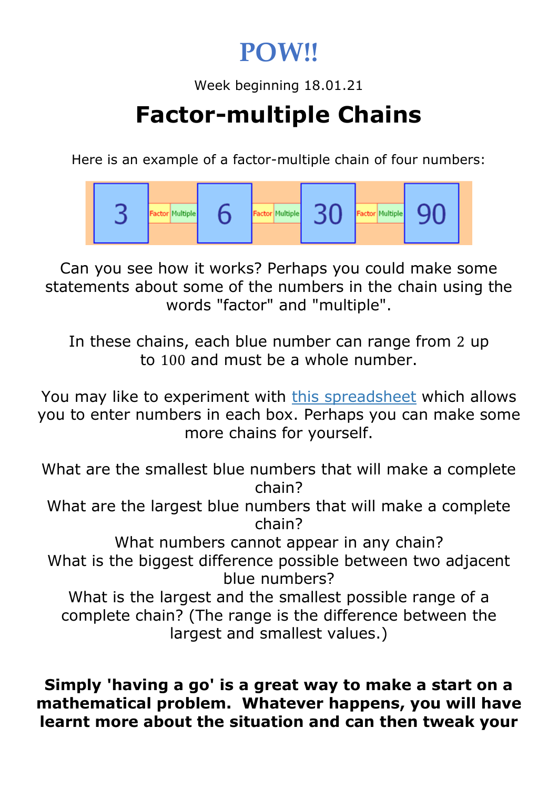## **POW!!**

Week beginning 18.01.21

# **Factor-multiple Chains**

Here is an example of a factor-multiple chain of four numbers:



Can you see how it works? Perhaps you could make some statements about some of the numbers in the chain using the words "factor" and "multiple".

In these chains, each blue number can range from 2 up to 100 and must be a whole number.

You may like to experiment with [this spreadsheet](https://nrich.maths.org/content/id/5578/Factor-multiple%20Chains.xls) which allows you to enter numbers in each box. Perhaps you can make some more chains for yourself.

What are the smallest blue numbers that will make a complete chain?

What are the largest blue numbers that will make a complete chain?

What numbers cannot appear in any chain? What is the biggest difference possible between two adjacent blue numbers?

What is the largest and the smallest possible range of a complete chain? (The range is the difference between the largest and smallest values.)

#### **Simply 'having a go' is a great way to make a start on a mathematical problem. Whatever happens, you will have learnt more about the situation and can then tweak your**